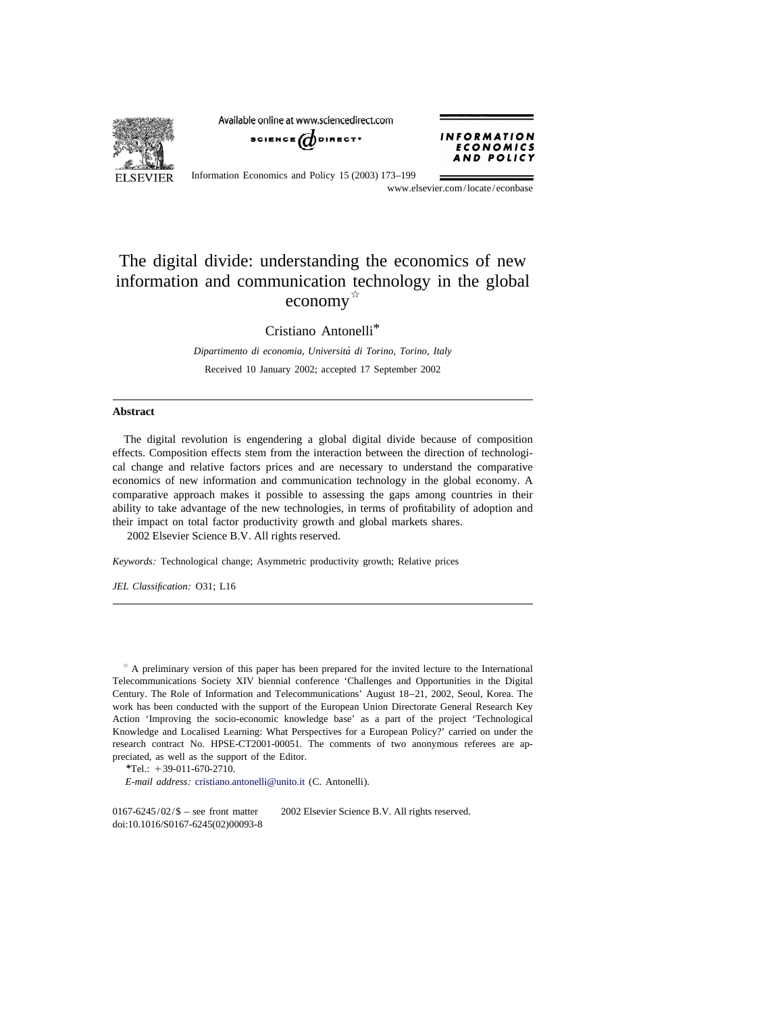**ELSEVIER** 

Available online at www.sciencedirect.com





Information Economics and Policy 15 (2003) 173–199

www.elsevier.com/locate/econbase

## The digital divide: understanding the economics of new information and communication technology in the global  $e \overline{\text{conomy}}^{\frac{1}{\alpha}}$

Cristiano Antonelli\*

*Dipartimento di economia*, *Universita di Torino `* , *Torino*, *Italy* Received 10 January 2002; accepted 17 September 2002

## **Abstract**

The digital revolution is engendering a global digital divide because of composition effects. Composition effects stem from the interaction between the direction of technological change and relative factors prices and are necessary to understand the comparative economics of new information and communication technology in the global economy. A comparative approach makes it possible to assessing the gaps among countries in their ability to take advantage of the new technologies, in terms of profitability of adoption and their impact on total factor productivity growth and global markets shares. 2002 Elsevier Science B.V. All rights reserved.

*Keywords*: Technological change; Asymmetric productivity growth; Relative prices

*JEL Classification*: O31; L16

 $*$  A preliminary version of this paper has been prepared for the invited lecture to the International Telecommunications Society XIV biennial conference 'Challenges and Opportunities in the Digital Century. The Role of Information and Telecommunications' August 18–21, 2002, Seoul, Korea. The work has been conducted with the support of the European Union Directorate General Research Key Action 'Improving the socio-economic knowledge base' as a part of the project 'Technological Knowledge and Localised Learning: What Perspectives for a European Policy?' carried on under the research contract No. HPSE-CT2001-00051. The comments of two anonymous referees are appreciated, as well as the support of the Editor.

*\**Tel.: 139-011-670-2710.

*E*-*mail address*: [cristiano.antonelli@unito.it](mailto:cristiano.antonelli@unito.it) (C. Antonelli).

0167-6245/02/ $\$  – see front matter  $\)$  2002 Elsevier Science B.V. All rights reserved. doi:10.1016/S0167-6245(02)00093-8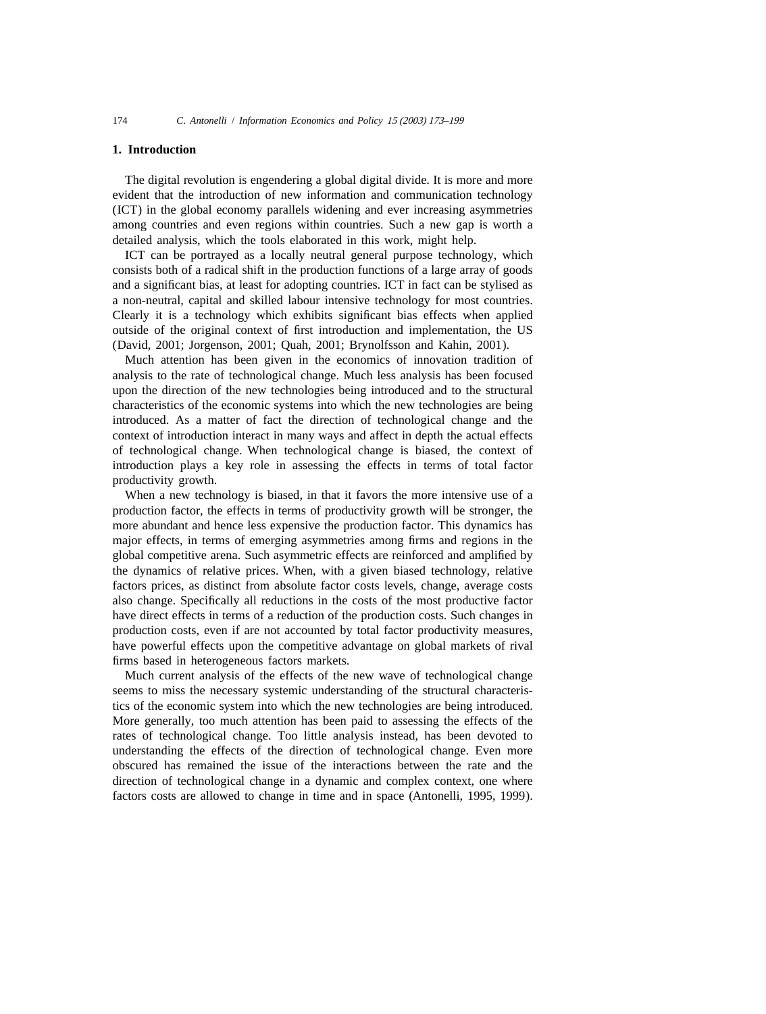## **1. Introduction**

The digital revolution is engendering a global digital divide. It is more and more evident that the introduction of new information and communication technology (ICT) in the global economy parallels widening and ever increasing asymmetries among countries and even regions within countries. Such a new gap is worth a detailed analysis, which the tools elaborated in this work, might help.

ICT can be portrayed as a locally neutral general purpose technology, which consists both of a radical shift in the production functions of a large array of goods and a significant bias, at least for adopting countries. ICT in fact can be stylised as a non-neutral, capital and skilled labour intensive technology for most countries. Clearly it is a technology which exhibits significant bias effects when applied outside of the original context of first introduction and implementation, the US (David, 2001; Jorgenson, 2001; Quah, 2001; Brynolfsson and Kahin, 2001).

Much attention has been given in the economics of innovation tradition of analysis to the rate of technological change. Much less analysis has been focused upon the direction of the new technologies being introduced and to the structural characteristics of the economic systems into which the new technologies are being introduced. As a matter of fact the direction of technological change and the context of introduction interact in many ways and affect in depth the actual effects of technological change. When technological change is biased, the context of introduction plays a key role in assessing the effects in terms of total factor productivity growth.

When a new technology is biased, in that it favors the more intensive use of a production factor, the effects in terms of productivity growth will be stronger, the more abundant and hence less expensive the production factor. This dynamics has major effects, in terms of emerging asymmetries among firms and regions in the global competitive arena. Such asymmetric effects are reinforced and amplified by the dynamics of relative prices. When, with a given biased technology, relative factors prices, as distinct from absolute factor costs levels, change, average costs also change. Specifically all reductions in the costs of the most productive factor have direct effects in terms of a reduction of the production costs. Such changes in production costs, even if are not accounted by total factor productivity measures, have powerful effects upon the competitive advantage on global markets of rival firms based in heterogeneous factors markets.

Much current analysis of the effects of the new wave of technological change seems to miss the necessary systemic understanding of the structural characteristics of the economic system into which the new technologies are being introduced. More generally, too much attention has been paid to assessing the effects of the rates of technological change. Too little analysis instead, has been devoted to understanding the effects of the direction of technological change. Even more obscured has remained the issue of the interactions between the rate and the direction of technological change in a dynamic and complex context, one where factors costs are allowed to change in time and in space (Antonelli, 1995, 1999).